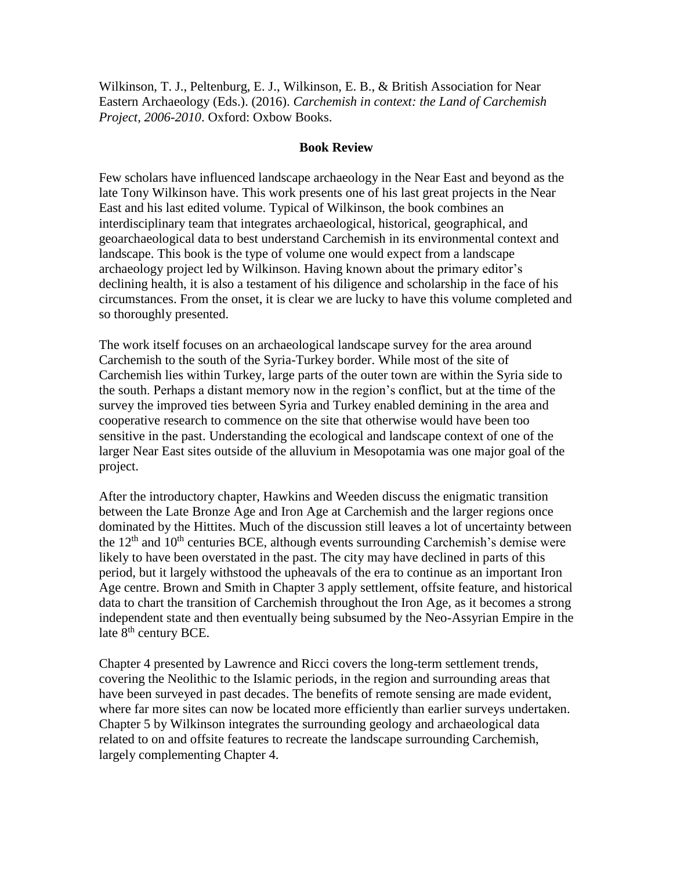Wilkinson, T. J., Peltenburg, E. J., Wilkinson, E. B., & British Association for Near Eastern Archaeology (Eds.). (2016). *Carchemish in context: the Land of Carchemish Project, 2006-2010*. Oxford: Oxbow Books.

## **Book Review**

Few scholars have influenced landscape archaeology in the Near East and beyond as the late Tony Wilkinson have. This work presents one of his last great projects in the Near East and his last edited volume. Typical of Wilkinson, the book combines an interdisciplinary team that integrates archaeological, historical, geographical, and geoarchaeological data to best understand Carchemish in its environmental context and landscape. This book is the type of volume one would expect from a landscape archaeology project led by Wilkinson. Having known about the primary editor's declining health, it is also a testament of his diligence and scholarship in the face of his circumstances. From the onset, it is clear we are lucky to have this volume completed and so thoroughly presented.

The work itself focuses on an archaeological landscape survey for the area around Carchemish to the south of the Syria-Turkey border. While most of the site of Carchemish lies within Turkey, large parts of the outer town are within the Syria side to the south. Perhaps a distant memory now in the region's conflict, but at the time of the survey the improved ties between Syria and Turkey enabled demining in the area and cooperative research to commence on the site that otherwise would have been too sensitive in the past. Understanding the ecological and landscape context of one of the larger Near East sites outside of the alluvium in Mesopotamia was one major goal of the project.

After the introductory chapter, Hawkins and Weeden discuss the enigmatic transition between the Late Bronze Age and Iron Age at Carchemish and the larger regions once dominated by the Hittites. Much of the discussion still leaves a lot of uncertainty between the  $12<sup>th</sup>$  and  $10<sup>th</sup>$  centuries BCE, although events surrounding Carchemish's demise were likely to have been overstated in the past. The city may have declined in parts of this period, but it largely withstood the upheavals of the era to continue as an important Iron Age centre. Brown and Smith in Chapter 3 apply settlement, offsite feature, and historical data to chart the transition of Carchemish throughout the Iron Age, as it becomes a strong independent state and then eventually being subsumed by the Neo-Assyrian Empire in the late  $8<sup>th</sup>$  century BCE.

Chapter 4 presented by Lawrence and Ricci covers the long-term settlement trends, covering the Neolithic to the Islamic periods, in the region and surrounding areas that have been surveyed in past decades. The benefits of remote sensing are made evident, where far more sites can now be located more efficiently than earlier surveys undertaken. Chapter 5 by Wilkinson integrates the surrounding geology and archaeological data related to on and offsite features to recreate the landscape surrounding Carchemish, largely complementing Chapter 4.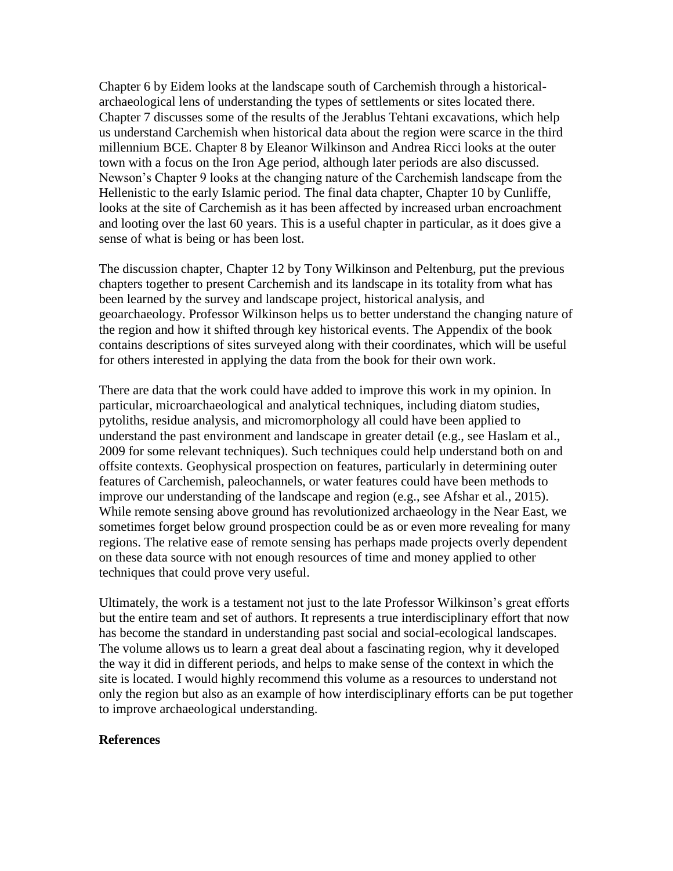Chapter 6 by Eidem looks at the landscape south of Carchemish through a historicalarchaeological lens of understanding the types of settlements or sites located there. Chapter 7 discusses some of the results of the Jerablus Tehtani excavations, which help us understand Carchemish when historical data about the region were scarce in the third millennium BCE. Chapter 8 by Eleanor Wilkinson and Andrea Ricci looks at the outer town with a focus on the Iron Age period, although later periods are also discussed. Newson's Chapter 9 looks at the changing nature of the Carchemish landscape from the Hellenistic to the early Islamic period. The final data chapter, Chapter 10 by Cunliffe, looks at the site of Carchemish as it has been affected by increased urban encroachment and looting over the last 60 years. This is a useful chapter in particular, as it does give a sense of what is being or has been lost.

The discussion chapter, Chapter 12 by Tony Wilkinson and Peltenburg, put the previous chapters together to present Carchemish and its landscape in its totality from what has been learned by the survey and landscape project, historical analysis, and geoarchaeology. Professor Wilkinson helps us to better understand the changing nature of the region and how it shifted through key historical events. The Appendix of the book contains descriptions of sites surveyed along with their coordinates, which will be useful for others interested in applying the data from the book for their own work.

There are data that the work could have added to improve this work in my opinion. In particular, microarchaeological and analytical techniques, including diatom studies, pytoliths, residue analysis, and micromorphology all could have been applied to understand the past environment and landscape in greater detail (e.g., see Haslam et al., 2009 for some relevant techniques). Such techniques could help understand both on and offsite contexts. Geophysical prospection on features, particularly in determining outer features of Carchemish, paleochannels, or water features could have been methods to improve our understanding of the landscape and region (e.g., see Afshar et al., 2015). While remote sensing above ground has revolutionized archaeology in the Near East, we sometimes forget below ground prospection could be as or even more revealing for many regions. The relative ease of remote sensing has perhaps made projects overly dependent on these data source with not enough resources of time and money applied to other techniques that could prove very useful.

Ultimately, the work is a testament not just to the late Professor Wilkinson's great efforts but the entire team and set of authors. It represents a true interdisciplinary effort that now has become the standard in understanding past social and social-ecological landscapes. The volume allows us to learn a great deal about a fascinating region, why it developed the way it did in different periods, and helps to make sense of the context in which the site is located. I would highly recommend this volume as a resources to understand not only the region but also as an example of how interdisciplinary efforts can be put together to improve archaeological understanding.

## **References**